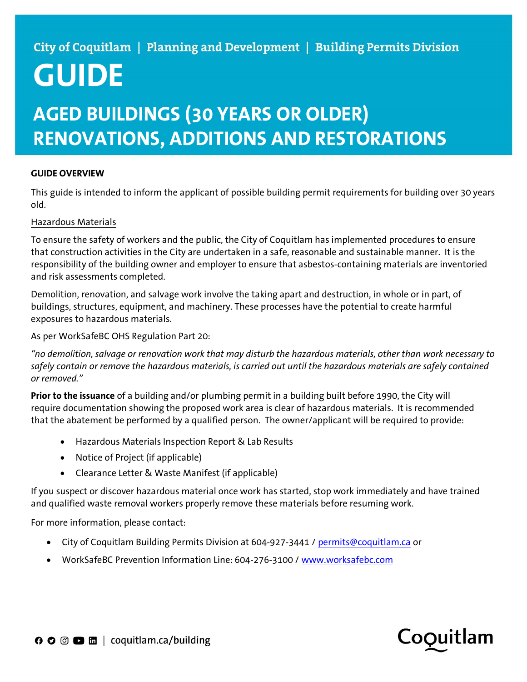### City of Coquitlam | Planning and Development | Building Permits Division

# GUIDE

## AGED BUILDINGS (30 YEARS OR OLDER) RENOVATIONS, ADDITIONS AND RESTORATIONS

#### GUIDE OVERVIEW

This guide is intended to inform the applicant of possible building permit requirements for building over 30 years old.

#### Hazardous Materials

To ensure the safety of workers and the public, the City of Coquitlam has implemented procedures to ensure that construction activities in the City are undertaken in a safe, reasonable and sustainable manner. It is the responsibility of the building owner and employer to ensure that asbestos-containing materials are inventoried and risk assessments completed.

Demolition, renovation, and salvage work involve the taking apart and destruction, in whole or in part, of buildings, structures, equipment, and machinery. These processes have the potential to create harmful exposures to hazardous materials.

As per WorkSafeBC OHS Regulation Part 20:

"no demolition, salvage or renovation work that may disturb the hazardous materials, other than work necessary to safely contain or remove the hazardous materials, is carried out until the hazardous materials are safely contained or removed."

Prior to the issuance of a building and/or plumbing permit in a building built before 1990, the City will require documentation showing the proposed work area is clear of hazardous materials. It is recommended that the abatement be performed by a qualified person. The owner/applicant will be required to provide:

- Hazardous Materials Inspection Report & Lab Results
- Notice of Project (if applicable)
- Clearance Letter & Waste Manifest (if applicable)

If you suspect or discover hazardous material once work has started, stop work immediately and have trained and qualified waste removal workers properly remove these materials before resuming work.

For more information, please contact:

- City of Coquitlam Building Permits Division at 604-927-3441 / permits@coquitlam.ca or
- WorkSafeBC Prevention Information Line: 604-276-3100 / www.worksafebc.com